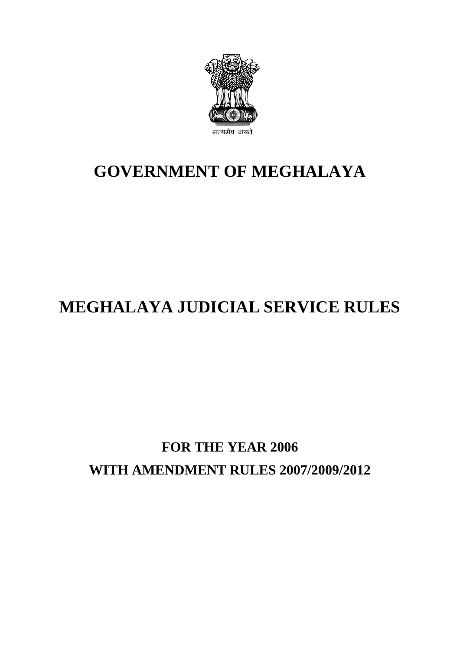

# **GOVERNMENT OF MEGHALAYA**

# **MEGHALAYA JUDICIAL SERVICE RULES**

# **FOR THE YEAR 2006 WITH AMENDMENT RULES 2007/2009/2012**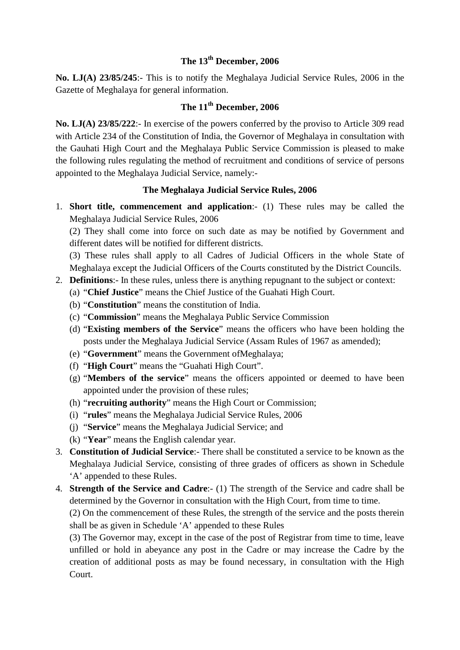## **The 13th December, 2006**

**No. LJ(A) 23/85/245**:- This is to notify the Meghalaya Judicial Service Rules, 2006 in the Gazette of Meghalaya for general information.

# **The 11th December, 2006**

**No. LJ(A) 23/85/222**:- In exercise of the powers conferred by the proviso to Article 309 read with Article 234 of the Constitution of India, the Governor of Meghalaya in consultation with the Gauhati High Court and the Meghalaya Public Service Commission is pleased to make the following rules regulating the method of recruitment and conditions of service of persons appointed to the Meghalaya Judicial Service, namely:-

## **The Meghalaya Judicial Service Rules, 2006**

1. **Short title, commencement and application**:- (1) These rules may be called the Meghalaya Judicial Service Rules, 2006

(2) They shall come into force on such date as may be notified by Government and different dates will be notified for different districts.

(3) These rules shall apply to all Cadres of Judicial Officers in the whole State of Meghalaya except the Judicial Officers of the Courts constituted by the District Councils.

- 2. **Definitions**:- In these rules, unless there is anything repugnant to the subject or context:
	- (a) "**Chief Justice**" means the Chief Justice of the Guahati High Court.
	- (b) "**Constitution**" means the constitution of India.
	- (c) "**Commission**" means the Meghalaya Public Service Commission
	- (d) "**Existing members of the Service**" means the officers who have been holding the posts under the Meghalaya Judicial Service (Assam Rules of 1967 as amended);
	- (e) "**Government**" means the Government ofMeghalaya;
	- (f) "**High Court**" means the "Guahati High Court".
	- (g) "**Members of the service**" means the officers appointed or deemed to have been appointed under the provision of these rules;
	- (h) "**recruiting authority**" means the High Court or Commission;
	- (i) "**rules**" means the Meghalaya Judicial Service Rules, 2006
	- (j) "**Service**" means the Meghalaya Judicial Service; and
	- (k) "**Year**" means the English calendar year.
- 3. **Constitution of Judicial Service**:- There shall be constituted a service to be known as the Meghalaya Judicial Service, consisting of three grades of officers as shown in Schedule 'A' appended to these Rules.
- 4. **Strength of the Service and Cadre**:- (1) The strength of the Service and cadre shall be determined by the Governor in consultation with the High Court, from time to time.

(2) On the commencement of these Rules, the strength of the service and the posts therein shall be as given in Schedule 'A' appended to these Rules

(3) The Governor may, except in the case of the post of Registrar from time to time, leave unfilled or hold in abeyance any post in the Cadre or may increase the Cadre by the creation of additional posts as may be found necessary, in consultation with the High Court.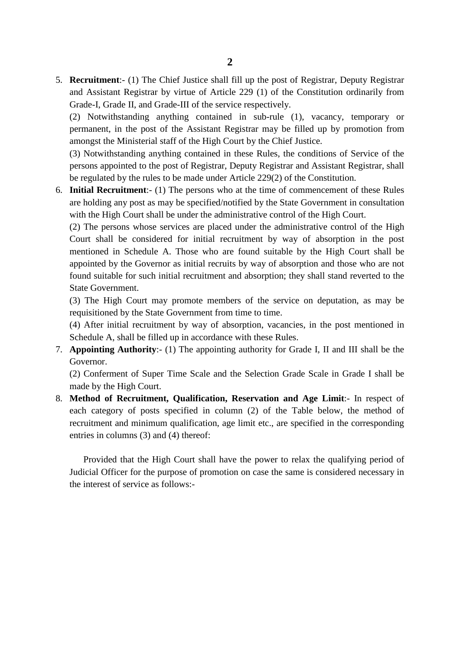5. **Recruitment**:- (1) The Chief Justice shall fill up the post of Registrar, Deputy Registrar and Assistant Registrar by virtue of Article 229 (1) of the Constitution ordinarily from Grade-I, Grade II, and Grade-III of the service respectively.

(2) Notwithstanding anything contained in sub-rule (1), vacancy, temporary or permanent, in the post of the Assistant Registrar may be filled up by promotion from amongst the Ministerial staff of the High Court by the Chief Justice.

(3) Notwithstanding anything contained in these Rules, the conditions of Service of the persons appointed to the post of Registrar, Deputy Registrar and Assistant Registrar, shall be regulated by the rules to be made under Article 229(2) of the Constitution.

6. **Initial Recruitment**:- (1) The persons who at the time of commencement of these Rules are holding any post as may be specified/notified by the State Government in consultation with the High Court shall be under the administrative control of the High Court.

(2) The persons whose services are placed under the administrative control of the High Court shall be considered for initial recruitment by way of absorption in the post mentioned in Schedule A. Those who are found suitable by the High Court shall be appointed by the Governor as initial recruits by way of absorption and those who are not found suitable for such initial recruitment and absorption; they shall stand reverted to the State Government.

(3) The High Court may promote members of the service on deputation, as may be requisitioned by the State Government from time to time.

(4) After initial recruitment by way of absorption, vacancies, in the post mentioned in Schedule A, shall be filled up in accordance with these Rules.

7. **Appointing Authority**:- (1) The appointing authority for Grade I, II and III shall be the Governor.

(2) Conferment of Super Time Scale and the Selection Grade Scale in Grade I shall be made by the High Court.

8. **Method of Recruitment, Qualification, Reservation and Age Limit**:- In respect of each category of posts specified in column (2) of the Table below, the method of recruitment and minimum qualification, age limit etc., are specified in the corresponding entries in columns (3) and (4) thereof:

Provided that the High Court shall have the power to relax the qualifying period of Judicial Officer for the purpose of promotion on case the same is considered necessary in the interest of service as follows:-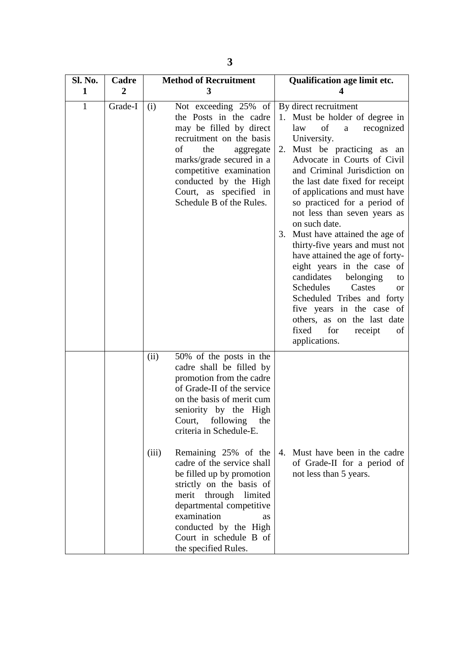| Sl. No.      | Cadre          | <b>Method of Recruitment</b>                                                                                                                                                                                                                                                                                                                                                                                                                                                                                   | Qualification age limit etc.                                                                                                                                                                                                                                                                                                                                                                                                                                                                                                                                                                                                                                                                                         |  |
|--------------|----------------|----------------------------------------------------------------------------------------------------------------------------------------------------------------------------------------------------------------------------------------------------------------------------------------------------------------------------------------------------------------------------------------------------------------------------------------------------------------------------------------------------------------|----------------------------------------------------------------------------------------------------------------------------------------------------------------------------------------------------------------------------------------------------------------------------------------------------------------------------------------------------------------------------------------------------------------------------------------------------------------------------------------------------------------------------------------------------------------------------------------------------------------------------------------------------------------------------------------------------------------------|--|
| $\mathbf 1$  | $\overline{2}$ | $\mathbf{3}$                                                                                                                                                                                                                                                                                                                                                                                                                                                                                                   | 4                                                                                                                                                                                                                                                                                                                                                                                                                                                                                                                                                                                                                                                                                                                    |  |
| $\mathbf{1}$ | Grade-I        | Not exceeding 25% of<br>(i)<br>the Posts in the cadre<br>may be filled by direct<br>recruitment on the basis<br>of<br>the<br>aggregate<br>marks/grade secured in a<br>competitive examination<br>conducted by the High<br>Court, as specified in<br>Schedule B of the Rules.                                                                                                                                                                                                                                   | By direct recruitment<br>1. Must be holder of degree in<br>of<br>law<br>recognized<br>a<br>University.<br>Must be practicing as an<br>2.<br>Advocate in Courts of Civil<br>and Criminal Jurisdiction on<br>the last date fixed for receipt<br>of applications and must have<br>so practiced for a period of<br>not less than seven years as<br>on such date.<br>3. Must have attained the age of<br>thirty-five years and must not<br>have attained the age of forty-<br>eight years in the case of<br>candidates<br>belonging<br>to<br>Schedules<br>Castes<br><b>or</b><br>Scheduled Tribes and forty<br>five years in the case of<br>others, as on the last date<br>fixed<br>for<br>receipt<br>of<br>applications. |  |
|              |                | (ii)<br>50% of the posts in the<br>cadre shall be filled by<br>promotion from the cadre<br>of Grade-II of the service<br>on the basis of merit cum<br>seniority by the High<br>Court, following the<br>criteria in Schedule-E.<br>Remaining 25% of the<br>(iii)<br>cadre of the service shall<br>be filled up by promotion<br>strictly on the basis of<br>through limited<br>merit<br>departmental competitive<br>examination<br>as<br>conducted by the High<br>Court in schedule B of<br>the specified Rules. | 4. Must have been in the cadre<br>of Grade-II for a period of<br>not less than 5 years.                                                                                                                                                                                                                                                                                                                                                                                                                                                                                                                                                                                                                              |  |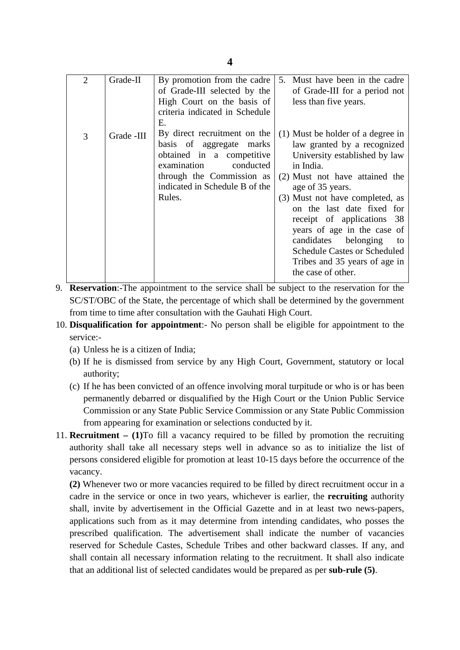| $\overline{2}$ | Grade-II   | By promotion from the cadre<br>of Grade-III selected by the<br>High Court on the basis of<br>criteria indicated in Schedule<br>Ε.                                                          | 5. Must have been in the cadre<br>of Grade-III for a period not<br>less than five years.                                                                                                                                                                                                                                                                                                                                       |
|----------------|------------|--------------------------------------------------------------------------------------------------------------------------------------------------------------------------------------------|--------------------------------------------------------------------------------------------------------------------------------------------------------------------------------------------------------------------------------------------------------------------------------------------------------------------------------------------------------------------------------------------------------------------------------|
| 3              | Grade -III | By direct recruitment on the<br>basis of aggregate marks<br>obtained in a competitive<br>examination<br>conducted<br>through the Commission as<br>indicated in Schedule B of the<br>Rules. | (1) Must be holder of a degree in<br>law granted by a recognized<br>University established by law<br>in India.<br>(2) Must not have attained the<br>age of 35 years.<br>(3) Must not have completed, as<br>on the last date fixed for<br>receipt of applications 38<br>years of age in the case of<br>candidates belonging<br>to<br><b>Schedule Castes or Scheduled</b><br>Tribes and 35 years of age in<br>the case of other. |

9. **Reservation**:-The appointment to the service shall be subject to the reservation for the SC/ST/OBC of the State, the percentage of which shall be determined by the government from time to time after consultation with the Gauhati High Court.

- 10. **Disqualification for appointment**:- No person shall be eligible for appointment to the service:-
	- (a) Unless he is a citizen of India;
	- (b) If he is dismissed from service by any High Court, Government, statutory or local authority;
	- (c) If he has been convicted of an offence involving moral turpitude or who is or has been permanently debarred or disqualified by the High Court or the Union Public Service Commission or any State Public Service Commission or any State Public Commission from appearing for examination or selections conducted by it.
- 11. **Recruitment – (1)**To fill a vacancy required to be filled by promotion the recruiting authority shall take all necessary steps well in advance so as to initialize the list of persons considered eligible for promotion at least 10-15 days before the occurrence of the vacancy.

**(2)** Whenever two or more vacancies required to be filled by direct recruitment occur in a cadre in the service or once in two years, whichever is earlier, the **recruiting** authority shall, invite by advertisement in the Official Gazette and in at least two news-papers, applications such from as it may determine from intending candidates, who posses the prescribed qualification. The advertisement shall indicate the number of vacancies reserved for Schedule Castes, Schedule Tribes and other backward classes. If any, and shall contain all necessary information relating to the recruitment. It shall also indicate that an additional list of selected candidates would be prepared as per **sub-rule (5)**.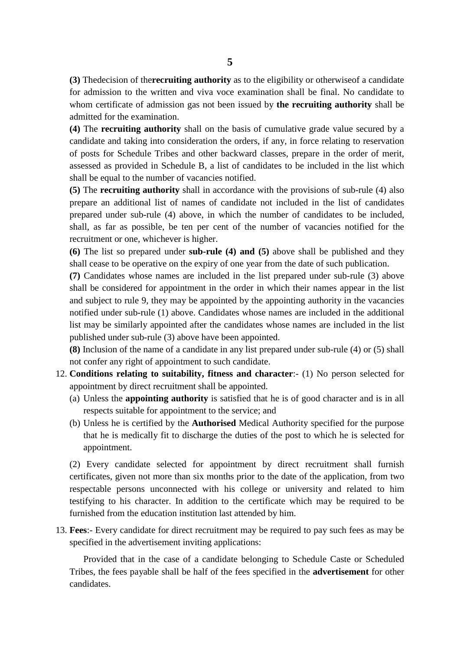**(3)** Thedecision of the**recruiting authority** as to the eligibility or otherwiseof a candidate for admission to the written and viva voce examination shall be final. No candidate to whom certificate of admission gas not been issued by **the recruiting authority** shall be admitted for the examination.

**(4)** The **recruiting authority** shall on the basis of cumulative grade value secured by a candidate and taking into consideration the orders, if any, in force relating to reservation of posts for Schedule Tribes and other backward classes, prepare in the order of merit, assessed as provided in Schedule B, a list of candidates to be included in the list which shall be equal to the number of vacancies notified.

**(5)** The **recruiting authority** shall in accordance with the provisions of sub-rule (4) also prepare an additional list of names of candidate not included in the list of candidates prepared under sub-rule (4) above, in which the number of candidates to be included, shall, as far as possible, be ten per cent of the number of vacancies notified for the recruitment or one, whichever is higher.

**(6)** The list so prepared under **sub-rule (4) and (5)** above shall be published and they shall cease to be operative on the expiry of one year from the date of such publication.

**(7)** Candidates whose names are included in the list prepared under sub-rule (3) above shall be considered for appointment in the order in which their names appear in the list and subject to rule 9, they may be appointed by the appointing authority in the vacancies notified under sub-rule (1) above. Candidates whose names are included in the additional list may be similarly appointed after the candidates whose names are included in the list published under sub-rule (3) above have been appointed.

**(8)** Inclusion of the name of a candidate in any list prepared under sub-rule (4) or (5) shall not confer any right of appointment to such candidate.

- 12. **Conditions relating to suitability, fitness and character**:- (1) No person selected for appointment by direct recruitment shall be appointed.
	- (a) Unless the **appointing authority** is satisfied that he is of good character and is in all respects suitable for appointment to the service; and
	- (b) Unless he is certified by the **Authorised** Medical Authority specified for the purpose that he is medically fit to discharge the duties of the post to which he is selected for appointment.

(2) Every candidate selected for appointment by direct recruitment shall furnish certificates, given not more than six months prior to the date of the application, from two respectable persons unconnected with his college or university and related to him testifying to his character. In addition to the certificate which may be required to be furnished from the education institution last attended by him.

13. **Fees**:- Every candidate for direct recruitment may be required to pay such fees as may be specified in the advertisement inviting applications:

Provided that in the case of a candidate belonging to Schedule Caste or Scheduled Tribes, the fees payable shall be half of the fees specified in the **advertisement** for other candidates.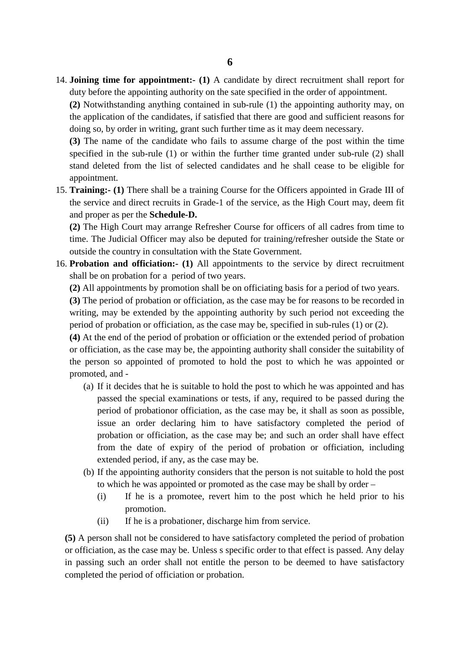14. **Joining time for appointment:- (1)** A candidate by direct recruitment shall report for duty before the appointing authority on the sate specified in the order of appointment.

**(2)** Notwithstanding anything contained in sub-rule (1) the appointing authority may, on the application of the candidates, if satisfied that there are good and sufficient reasons for doing so, by order in writing, grant such further time as it may deem necessary.

**(3)** The name of the candidate who fails to assume charge of the post within the time specified in the sub-rule (1) or within the further time granted under sub-rule (2) shall stand deleted from the list of selected candidates and he shall cease to be eligible for appointment.

15. **Training:- (1)** There shall be a training Course for the Officers appointed in Grade III of the service and direct recruits in Grade-1 of the service, as the High Court may, deem fit and proper as per the **Schedule-D.**

**(2)** The High Court may arrange Refresher Course for officers of all cadres from time to time. The Judicial Officer may also be deputed for training/refresher outside the State or outside the country in consultation with the State Government.

16. **Probation and officiation:- (1)** All appointments to the service by direct recruitment shall be on probation for a period of two years.

**(2)** All appointments by promotion shall be on officiating basis for a period of two years.

**(3)** The period of probation or officiation, as the case may be for reasons to be recorded in writing, may be extended by the appointing authority by such period not exceeding the period of probation or officiation, as the case may be, specified in sub-rules (1) or (2).

**(4)** At the end of the period of probation or officiation or the extended period of probation or officiation, as the case may be, the appointing authority shall consider the suitability of the person so appointed of promoted to hold the post to which he was appointed or promoted, and -

- (a) If it decides that he is suitable to hold the post to which he was appointed and has passed the special examinations or tests, if any, required to be passed during the period of probationor officiation, as the case may be, it shall as soon as possible, issue an order declaring him to have satisfactory completed the period of probation or officiation, as the case may be; and such an order shall have effect from the date of expiry of the period of probation or officiation, including extended period, if any, as the case may be.
- (b) If the appointing authority considers that the person is not suitable to hold the post to which he was appointed or promoted as the case may be shall by order –
	- (i) If he is a promotee, revert him to the post which he held prior to his promotion.
	- (ii) If he is a probationer, discharge him from service.

**(5)** A person shall not be considered to have satisfactory completed the period of probation or officiation, as the case may be. Unless s specific order to that effect is passed. Any delay in passing such an order shall not entitle the person to be deemed to have satisfactory completed the period of officiation or probation.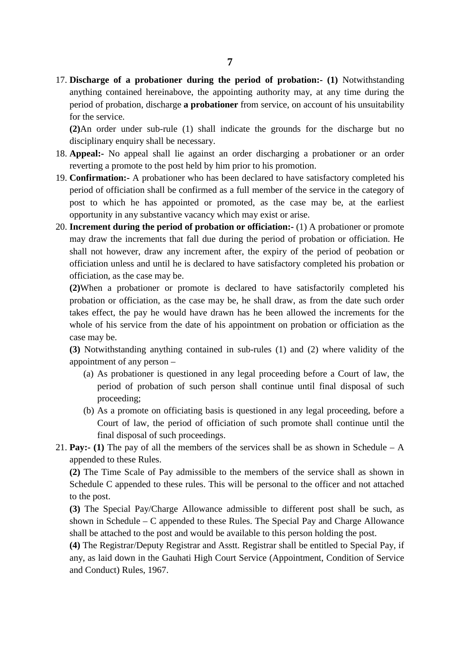17. **Discharge of a probationer during the period of probation:- (1)** Notwithstanding anything contained hereinabove, the appointing authority may, at any time during the period of probation, discharge **a probationer** from service, on account of his unsuitability for the service.

**(2)**An order under sub-rule (1) shall indicate the grounds for the discharge but no disciplinary enquiry shall be necessary.

- 18. **Appeal:-** No appeal shall lie against an order discharging a probationer or an order reverting a promote to the post held by him prior to his promotion.
- 19. **Confirmation:-** A probationer who has been declared to have satisfactory completed his period of officiation shall be confirmed as a full member of the service in the category of post to which he has appointed or promoted, as the case may be, at the earliest opportunity in any substantive vacancy which may exist or arise.
- 20. **Increment during the period of probation or officiation:-** (1) A probationer or promote may draw the increments that fall due during the period of probation or officiation. He shall not however, draw any increment after, the expiry of the period of peobation or officiation unless and until he is declared to have satisfactory completed his probation or officiation, as the case may be.

**(2)**When a probationer or promote is declared to have satisfactorily completed his probation or officiation, as the case may be, he shall draw, as from the date such order takes effect, the pay he would have drawn has he been allowed the increments for the whole of his service from the date of his appointment on probation or officiation as the case may be.

**(3)** Notwithstanding anything contained in sub-rules (1) and (2) where validity of the appointment of any person –

- (a) As probationer is questioned in any legal proceeding before a Court of law, the period of probation of such person shall continue until final disposal of such proceeding;
- (b) As a promote on officiating basis is questioned in any legal proceeding, before a Court of law, the period of officiation of such promote shall continue until the final disposal of such proceedings.
- 21. **Pay:- (1)** The pay of all the members of the services shall be as shown in Schedule A appended to these Rules.

**(2)** The Time Scale of Pay admissible to the members of the service shall as shown in Schedule C appended to these rules. This will be personal to the officer and not attached to the post.

**(3)** The Special Pay/Charge Allowance admissible to different post shall be such, as shown in Schedule – C appended to these Rules. The Special Pay and Charge Allowance shall be attached to the post and would be available to this person holding the post.

**(4)** The Registrar/Deputy Registrar and Asstt. Registrar shall be entitled to Special Pay, if any, as laid down in the Gauhati High Court Service (Appointment, Condition of Service and Conduct) Rules, 1967.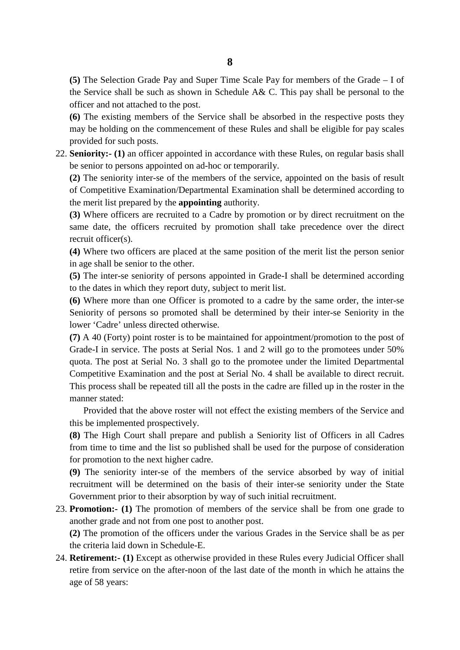**(5)** The Selection Grade Pay and Super Time Scale Pay for members of the Grade – I of the Service shall be such as shown in Schedule A& C. This pay shall be personal to the officer and not attached to the post.

**(6)** The existing members of the Service shall be absorbed in the respective posts they may be holding on the commencement of these Rules and shall be eligible for pay scales provided for such posts.

22. **Seniority:- (1)** an officer appointed in accordance with these Rules, on regular basis shall be senior to persons appointed on ad-hoc or temporarily.

**(2)** The seniority inter-se of the members of the service, appointed on the basis of result of Competitive Examination/Departmental Examination shall be determined according to the merit list prepared by the **appointing** authority.

**(3)** Where officers are recruited to a Cadre by promotion or by direct recruitment on the same date, the officers recruited by promotion shall take precedence over the direct recruit officer(s).

**(4)** Where two officers are placed at the same position of the merit list the person senior in age shall be senior to the other.

**(5)** The inter-se seniority of persons appointed in Grade-I shall be determined according to the dates in which they report duty, subject to merit list.

**(6)** Where more than one Officer is promoted to a cadre by the same order, the inter-se Seniority of persons so promoted shall be determined by their inter-se Seniority in the lower 'Cadre' unless directed otherwise.

**(7)** A 40 (Forty) point roster is to be maintained for appointment/promotion to the post of Grade-I in service. The posts at Serial Nos. 1 and 2 will go to the promotees under 50% quota. The post at Serial No. 3 shall go to the promotee under the limited Departmental Competitive Examination and the post at Serial No. 4 shall be available to direct recruit. This process shall be repeated till all the posts in the cadre are filled up in the roster in the manner stated:

Provided that the above roster will not effect the existing members of the Service and this be implemented prospectively.

**(8)** The High Court shall prepare and publish a Seniority list of Officers in all Cadres from time to time and the list so published shall be used for the purpose of consideration for promotion to the next higher cadre.

**(9)** The seniority inter-se of the members of the service absorbed by way of initial recruitment will be determined on the basis of their inter-se seniority under the State Government prior to their absorption by way of such initial recruitment.

23. **Promotion:- (1)** The promotion of members of the service shall be from one grade to another grade and not from one post to another post.

**(2)** The promotion of the officers under the various Grades in the Service shall be as per the criteria laid down in Schedule-E.

24. **Retirement:- (1)** Except as otherwise provided in these Rules every Judicial Officer shall retire from service on the after-noon of the last date of the month in which he attains the age of 58 years: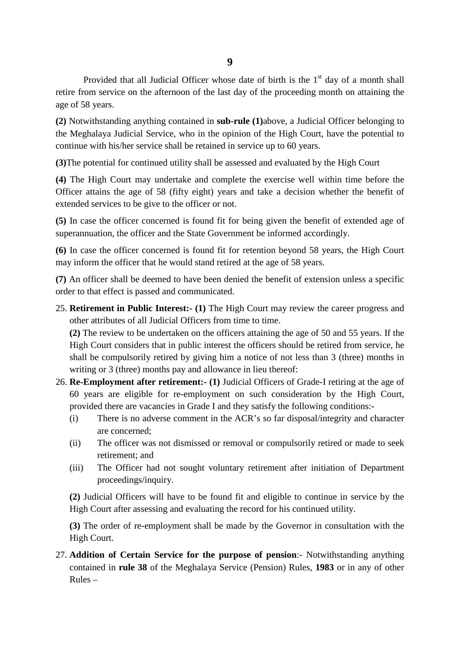Provided that all Judicial Officer whose date of birth is the  $1<sup>st</sup>$  day of a month shall retire from service on the afternoon of the last day of the proceeding month on attaining the age of 58 years.

**(2)** Notwithstanding anything contained in **sub-rule (1)**above, a Judicial Officer belonging to the Meghalaya Judicial Service, who in the opinion of the High Court, have the potential to continue with his/her service shall be retained in service up to 60 years.

**(3)**The potential for continued utility shall be assessed and evaluated by the High Court

**(4)** The High Court may undertake and complete the exercise well within time before the Officer attains the age of 58 (fifty eight) years and take a decision whether the benefit of extended services to be give to the officer or not.

**(5)** In case the officer concerned is found fit for being given the benefit of extended age of superannuation, the officer and the State Government be informed accordingly.

**(6)** In case the officer concerned is found fit for retention beyond 58 years, the High Court may inform the officer that he would stand retired at the age of 58 years.

**(7)** An officer shall be deemed to have been denied the benefit of extension unless a specific order to that effect is passed and communicated.

25. **Retirement in Public Interest:- (1)** The High Court may review the career progress and other attributes of all Judicial Officers from time to time.

**(2)** The review to be undertaken on the officers attaining the age of 50 and 55 years. If the High Court considers that in public interest the officers should be retired from service, he shall be compulsorily retired by giving him a notice of not less than 3 (three) months in writing or 3 (three) months pay and allowance in lieu thereof:

- 26. **Re-Employment after retirement:- (1)** Judicial Officers of Grade-I retiring at the age of 60 years are eligible for re-employment on such consideration by the High Court, provided there are vacancies in Grade I and they satisfy the following conditions:-
	- (i) There is no adverse comment in the ACR's so far disposal/integrity and character are concerned;
	- (ii) The officer was not dismissed or removal or compulsorily retired or made to seek retirement; and
	- (iii) The Officer had not sought voluntary retirement after initiation of Department proceedings/inquiry.

**(2)** Judicial Officers will have to be found fit and eligible to continue in service by the High Court after assessing and evaluating the record for his continued utility.

**(3)** The order of re-employment shall be made by the Governor in consultation with the High Court.

27. **Addition of Certain Service for the purpose of pension**:- Notwithstanding anything contained in **rule 38** of the Meghalaya Service (Pension) Rules, **1983** or in any of other Rules –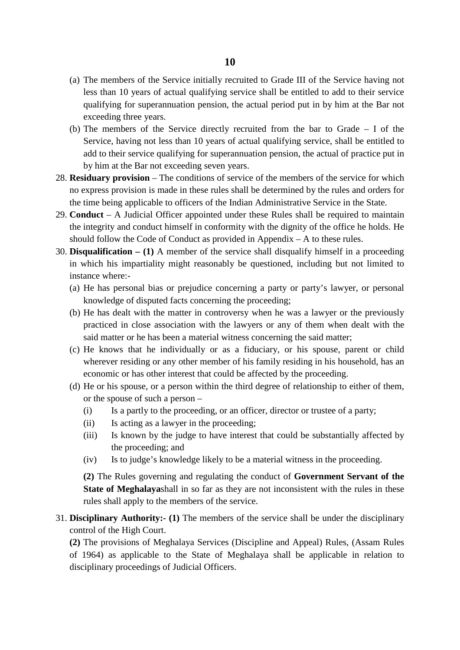- (a) The members of the Service initially recruited to Grade III of the Service having not less than 10 years of actual qualifying service shall be entitled to add to their service qualifying for superannuation pension, the actual period put in by him at the Bar not exceeding three years.
- (b) The members of the Service directly recruited from the bar to Grade I of the Service, having not less than 10 years of actual qualifying service, shall be entitled to add to their service qualifying for superannuation pension, the actual of practice put in by him at the Bar not exceeding seven years.
- 28. **Residuary provision** The conditions of service of the members of the service for which no express provision is made in these rules shall be determined by the rules and orders for the time being applicable to officers of the Indian Administrative Service in the State.
- 29. **Conduct**  A Judicial Officer appointed under these Rules shall be required to maintain the integrity and conduct himself in conformity with the dignity of the office he holds. He should follow the Code of Conduct as provided in Appendix – A to these rules.
- 30. **Disqualification – (1)** A member of the service shall disqualify himself in a proceeding in which his impartiality might reasonably be questioned, including but not limited to instance where:-
	- (a) He has personal bias or prejudice concerning a party or party's lawyer, or personal knowledge of disputed facts concerning the proceeding;
	- (b) He has dealt with the matter in controversy when he was a lawyer or the previously practiced in close association with the lawyers or any of them when dealt with the said matter or he has been a material witness concerning the said matter;
	- (c) He knows that he individually or as a fiduciary, or his spouse, parent or child wherever residing or any other member of his family residing in his household, has an economic or has other interest that could be affected by the proceeding.
	- (d) He or his spouse, or a person within the third degree of relationship to either of them, or the spouse of such a person –
		- (i) Is a partly to the proceeding, or an officer, director or trustee of a party;
		- (ii) Is acting as a lawyer in the proceeding;
		- (iii) Is known by the judge to have interest that could be substantially affected by the proceeding; and
		- (iv) Is to judge's knowledge likely to be a material witness in the proceeding.

**(2)** The Rules governing and regulating the conduct of **Government Servant of the State of Meghalaya**shall in so far as they are not inconsistent with the rules in these rules shall apply to the members of the service.

31. **Disciplinary Authority:- (1)** The members of the service shall be under the disciplinary control of the High Court.

**(2)** The provisions of Meghalaya Services (Discipline and Appeal) Rules, (Assam Rules of 1964) as applicable to the State of Meghalaya shall be applicable in relation to disciplinary proceedings of Judicial Officers.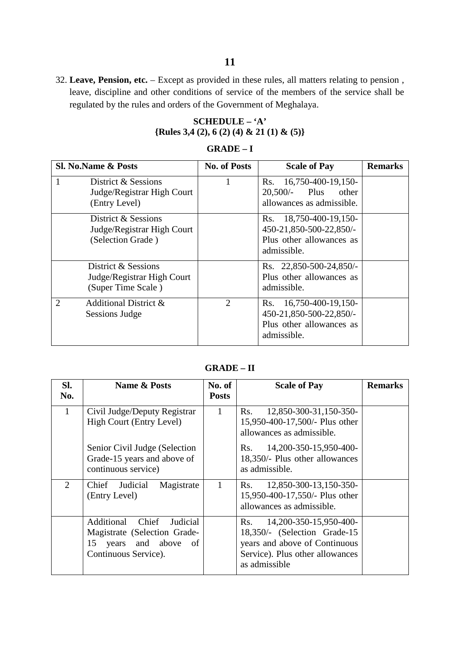32. **Leave, Pension, etc.** – Except as provided in these rules, all matters relating to pension , leave, discipline and other conditions of service of the members of the service shall be regulated by the rules and orders of the Government of Meghalaya.

# **SCHEDULE – 'A' {Rules 3,4 (2), 6 (2) (4) & 21 (1) & (5)}**

### **GRADE – I**

| <b>Sl. No. Name &amp; Posts</b>                                         | <b>No. of Posts</b><br><b>Scale of Pay</b> |                                                                                                 | <b>Remarks</b> |
|-------------------------------------------------------------------------|--------------------------------------------|-------------------------------------------------------------------------------------------------|----------------|
| 1<br>District & Sessions<br>Judge/Registrar High Court<br>(Entry Level) |                                            | Rs. 16,750-400-19,150-<br>20,500/<br>Plus<br>other<br>allowances as admissible.                 |                |
| District & Sessions<br>Judge/Registrar High Court<br>(Selection Grade)  |                                            | Rs. 18,750-400-19,150-<br>450-21,850-500-22,850/-<br>Plus other allowances as<br>admissible.    |                |
| District & Sessions<br>Judge/Registrar High Court<br>(Super Time Scale) |                                            | Rs. 22,850-500-24,850/-<br>Plus other allowances as<br>admissible.                              |                |
| $\mathcal{D}_{\mathcal{A}}$<br>Additional District &<br>Sessions Judge  | $\overline{2}$                             | 16,750-400-19,150-<br>Rs.<br>450-21,850-500-22,850/-<br>Plus other allowances as<br>admissible. |                |

# **GRADE – II**

| SI.<br>No.     | <b>Name &amp; Posts</b>                                                                                             | No. of<br><b>Posts</b> | <b>Scale of Pay</b>                                                                                                                                          | <b>Remarks</b> |
|----------------|---------------------------------------------------------------------------------------------------------------------|------------------------|--------------------------------------------------------------------------------------------------------------------------------------------------------------|----------------|
| $\mathbf{1}$   | Civil Judge/Deputy Registrar<br>High Court (Entry Level)                                                            |                        | 12,850-300-31,150-350-<br>Rs.<br>15,950-400-17,500/- Plus other<br>allowances as admissible.                                                                 |                |
|                | Senior Civil Judge (Selection<br>Grade-15 years and above of<br>continuous service)                                 |                        | 14, 200 - 350 - 15, 950 - 400 -<br>Rs.<br>18,350/- Plus other allowances<br>as admissible.                                                                   |                |
| $\mathfrak{2}$ | Chief Judicial<br>Magistrate<br>(Entry Level)                                                                       |                        | 12,850-300-13,150-350-<br>Rs.<br>15,950-400-17,550/- Plus other<br>allowances as admissible.                                                                 |                |
|                | Chief<br>Additional<br>Judicial<br>Magistrate (Selection Grade-<br>years and above of<br>15<br>Continuous Service). |                        | 14, 200 - 350 - 15, 950 - 400 -<br>Rs.<br>18,350/- (Selection Grade-15)<br>years and above of Continuous<br>Service). Plus other allowances<br>as admissible |                |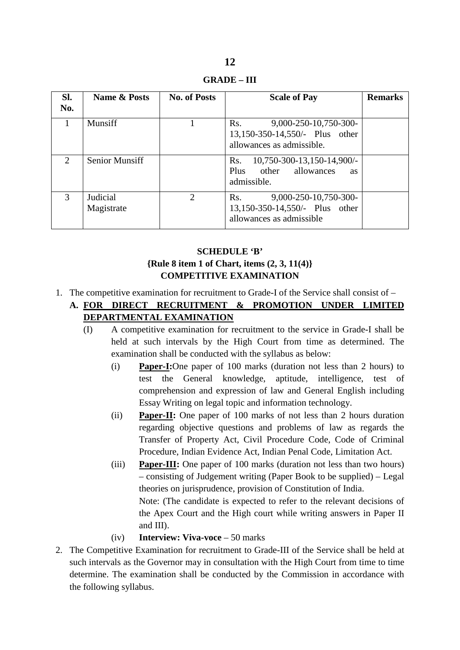**GRADE – III**

| Sl.<br>No.    | <b>Name &amp; Posts</b> | <b>No. of Posts</b> | <b>Scale of Pay</b>                                                                         | <b>Remarks</b> |
|---------------|-------------------------|---------------------|---------------------------------------------------------------------------------------------|----------------|
|               | Munsiff                 |                     | 9,000-250-10,750-300-<br>Rs.<br>13,150-350-14,550/- Plus other<br>allowances as admissible. |                |
| $\mathcal{D}$ | <b>Senior Munsiff</b>   |                     | 10,750-300-13,150-14,900/-<br>Rs.<br>Plus other allowances<br><b>as</b><br>admissible.      |                |
| $\mathcal{R}$ | Judicial<br>Magistrate  | $\overline{2}$      | 9,000-250-10,750-300-<br>Rs.<br>13,150-350-14,550/- Plus other<br>allowances as admissible  |                |

# **SCHEDULE 'B' {Rule 8 item 1 of Chart, items (2, 3, 11(4)} COMPETITIVE EXAMINATION**

- 1. The competitive examination for recruitment to Grade-I of the Service shall consist of
	- **A. FOR DIRECT RECRUITMENT & PROMOTION UNDER LIMITED DEPARTMENTAL EXAMINATION**
		- (I) A competitive examination for recruitment to the service in Grade-I shall be held at such intervals by the High Court from time as determined. The examination shall be conducted with the syllabus as below:
			- (i) **Paper-I :**One paper of 100 marks (duration not less than 2 hours) to test the General knowledge, aptitude, intelligence, test of comprehension and expression of law and General English including Essay Writing on legal topic and information technology.
			- (ii) **Paper-II:** One paper of 100 marks of not less than 2 hours duration regarding objective questions and problems of law as regards the Transfer of Property Act, Civil Procedure Code, Code of Criminal Procedure, Indian Evidence Act, Indian Penal Code, Limitation Act.
			- (iii) **Paper-III**: One paper of 100 marks (duration not less than two hours) Note: (The candidate is expected to refer to the relevant decisions of the Apex Court and the High court while writing answers in Paper II and III). – consisting of Judgement writing (Paper Book to be supplied) – Legal theories on jurisprudence, provision of Constitution of India.
			- (iv) **Interview: Viva-voce** 50 marks
- 2. The Competitive Examination for recruitment to Grade-III of the Service shall be held at such intervals as the Governor may in consultation with the High Court from time to time determine. The examination shall be conducted by the Commission in accordance with the following syllabus.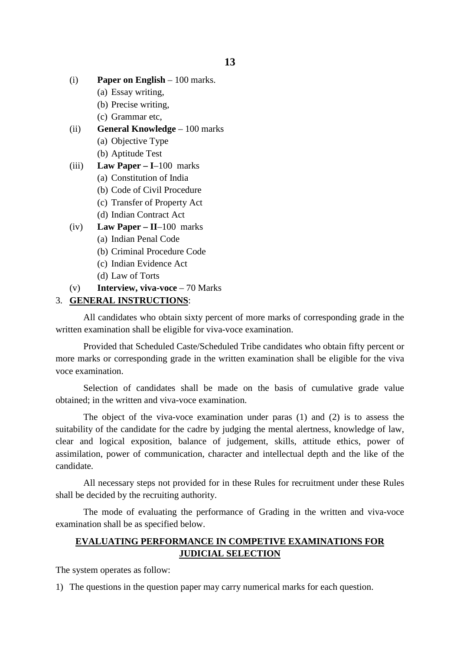- (i) **Paper on English** 100 marks.
	- (a) Essay writing,
	- (b) Precise writing,
	- (c) Grammar etc,
- (ii) **General Knowledge** 100 marks
	- (a) Objective Type
	- (b) Aptitude Test
- (iii) **Law Paper – I**–100 marks
	- (a) Constitution of India
	- (b) Code of Civil Procedure
	- (c) Transfer of Property Act
	- (d) Indian Contract Act
- (iv) **Law Paper – II**–100 marks
	- (a) Indian Penal Code
	- (b) Criminal Procedure Code
	- (c) Indian Evidence Act
	- (d) Law of Torts
- (v) **Interview, viva-voce** 70 Marks

#### 3. **GENERAL INSTRUCTIONS** :

All candidates who obtain sixty percent of more marks of corresponding grade in the written examination shall be eligible for viva-voce examination.

Provided that Scheduled Caste/Scheduled Tribe candidates who obtain fifty percent or more marks or corresponding grade in the written examination shall be eligible for the viva voce examination.

Selection of candidates shall be made on the basis of cumulative grade value obtained; in the written and viva-voce examination.

The object of the viva-voce examination under paras (1) and (2) is to assess the suitability of the candidate for the cadre by judging the mental alertness, knowledge of law, clear and logical exposition, balance of judgement, skills, attitude ethics, power of assimilation, power of communication, character and intellectual depth and the like of the candidate.

All necessary steps not provided for in these Rules for recruitment under these Rules shall be decided by the recruiting authority.

The mode of evaluating the performance of Grading in the written and viva-voce examination shall be as specified below.

## **EVALUATING PERFORMANCE IN COMPETIVE EXAMINATIONS FOR JUDICIAL SELECTION**

The system operates as follow:

1) The questions in the question paper may carry numerical marks for each question.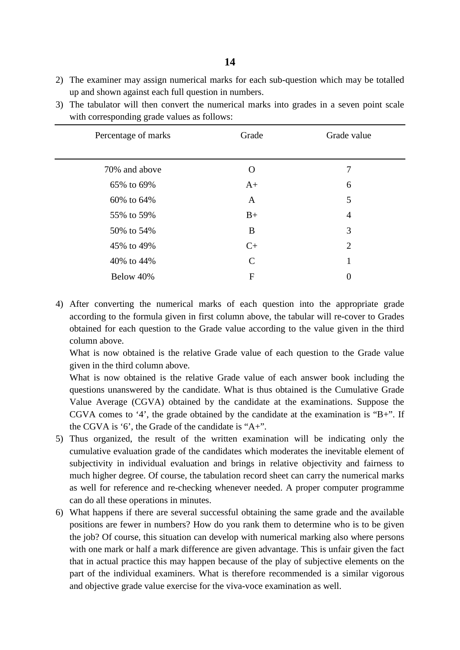- 2) The examiner may assign numerical marks for each sub-question which may be totalled up and shown against each full question in numbers.
- 3) The tabulator will then convert the numerical marks into grades in a seven point scale with corresponding grade values as follows:

| Percentage of marks | Grade        | Grade value      |
|---------------------|--------------|------------------|
| 70% and above       | O            | 7                |
| 65% to 69%          | $A+$         | 6                |
| 60% to 64%          | A            | 5                |
| 55% to 59%          | $B+$         | $\overline{4}$   |
| 50% to 54%          | B            | 3                |
| 45% to 49%          | $C+$         | $\overline{2}$   |
| 40% to 44%          | $\mathsf{C}$ | 1                |
| Below 40%           | $\mathbf F$  | $\boldsymbol{0}$ |

4) After converting the numerical marks of each question into the appropriate grade according to the formula given in first column above, the tabular will re-cover to Grades obtained for each question to the Grade value according to the value given in the third column above.

What is now obtained is the relative Grade value of each question to the Grade value given in the third column above.

What is now obtained is the relative Grade value of each answer book including the questions unanswered by the candidate. What is thus obtained is the Cumulative Grade Value Average (CGVA) obtained by the candidate at the examinations. Suppose the CGVA comes to '4', the grade obtained by the candidate at the examination is "B+". If the CGVA is '6', the Grade of the candidate is "A+".

- 5) Thus organized, the result of the written examination will be indicating only the cumulative evaluation grade of the candidates which moderates the inevitable element of subjectivity in individual evaluation and brings in relative objectivity and fairness to much higher degree. Of course, the tabulation record sheet can carry the numerical marks as well for reference and re-checking whenever needed. A proper computer programme can do all these operations in minutes.
- 6) What happens if there are several successful obtaining the same grade and the available positions are fewer in numbers? How do you rank them to determine who is to be given the job? Of course, this situation can develop with numerical marking also where persons with one mark or half a mark difference are given advantage. This is unfair given the fact that in actual practice this may happen because of the play of subjective elements on the part of the individual examiners. What is therefore recommended is a similar vigorous and objective grade value exercise for the viva-voce examination as well.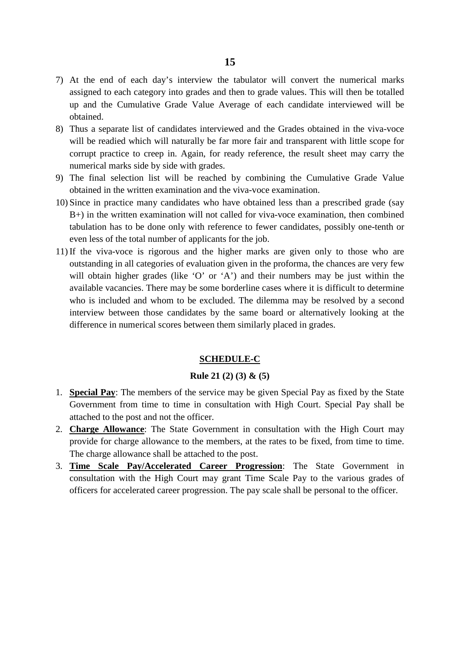- 7) At the end of each day's interview the tabulator will convert the numerical marks assigned to each category into grades and then to grade values. This will then be totalled up and the Cumulative Grade Value Average of each candidate interviewed will be obtained.
- 8) Thus a separate list of candidates interviewed and the Grades obtained in the viva-voce will be readied which will naturally be far more fair and transparent with little scope for corrupt practice to creep in. Again, for ready reference, the result sheet may carry the numerical marks side by side with grades.
- 9) The final selection list will be reached by combining the Cumulative Grade Value obtained in the written examination and the viva-voce examination.
- 10) Since in practice many candidates who have obtained less than a prescribed grade (say B+) in the written examination will not called for viva-voce examination, then combined tabulation has to be done only with reference to fewer candidates, possibly one-tenth or even less of the total number of applicants for the job.
- 11) If the viva-voce is rigorous and the higher marks are given only to those who are outstanding in all categories of evaluation given in the proforma, the chances are very few will obtain higher grades (like 'O' or 'A') and their numbers may be just within the available vacancies. There may be some borderline cases where it is difficult to determine who is included and whom to be excluded. The dilemma may be resolved by a second interview between those candidates by the same board or alternatively looking at the difference in numerical scores between them similarly placed in grades.

#### **SCHEDULE-C**

#### **Rule 21 (2) (3) & (5)**

- 1. **Special Pay** : The members of the service may be given Special Pay as fixed by the State Government from time to time in consultation with High Court. Special Pay shall be attached to the post and not the officer.
- 2. **Charge Allowance** : The State Government in consultation with the High Court may provide for charge allowance to the members, at the rates to be fixed, from time to time. The charge allowance shall be attached to the post.
- 3. **Time Scale Pay/Accelerated Career Progression**: The State Government in consultation with the High Court may grant Time Scale Pay to the various grades of officers for accelerated career progression. The pay scale shall be personal to the officer.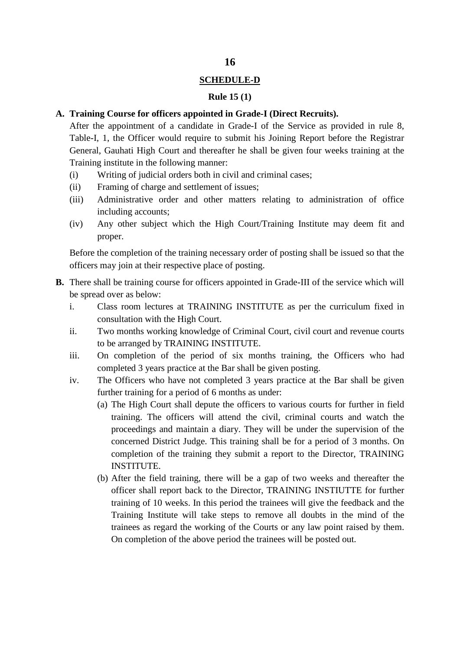## **SCHEDULE-D**

#### **Rule 15 (1)**

### **A. Training Course for officers appointed in Grade-I (Direct Recruits).**

After the appointment of a candidate in Grade-I of the Service as provided in rule 8, Table-I, 1, the Officer would require to submit his Joining Report before the Registrar General, Gauhati High Court and thereafter he shall be given four weeks training at the Training institute in the following manner:

- (i) Writing of judicial orders both in civil and criminal cases;
- (ii) Framing of charge and settlement of issues;
- (iii) Administrative order and other matters relating to administration of office including accounts;
- (iv) Any other subject which the High Court/Training Institute may deem fit and proper.

Before the completion of the training necessary order of posting shall be issued so that the officers may join at their respective place of posting.

- **B.** There shall be training course for officers appointed in Grade-III of the service which will be spread over as below:
	- i. Class room lectures at TRAINING INSTITUTE as per the curriculum fixed in consultation with the High Court.
	- ii. Two months working knowledge of Criminal Court, civil court and revenue courts to be arranged by TRAINING INSTITUTE.
	- iii. On completion of the period of six months training, the Officers who had completed 3 years practice at the Bar shall be given posting.
	- iv. The Officers who have not completed 3 years practice at the Bar shall be given further training for a period of 6 months as under:
		- (a) The High Court shall depute the officers to various courts for further in field training. The officers will attend the civil, criminal courts and watch the proceedings and maintain a diary. They will be under the supervision of the concerned District Judge. This training shall be for a period of 3 months. On completion of the training they submit a report to the Director, TRAINING INSTITUTE.
		- (b) After the field training, there will be a gap of two weeks and thereafter the officer shall report back to the Director, TRAINING INSTIUTTE for further training of 10 weeks. In this period the trainees will give the feedback and the Training Institute will take steps to remove all doubts in the mind of the trainees as regard the working of the Courts or any law point raised by them. On completion of the above period the trainees will be posted out.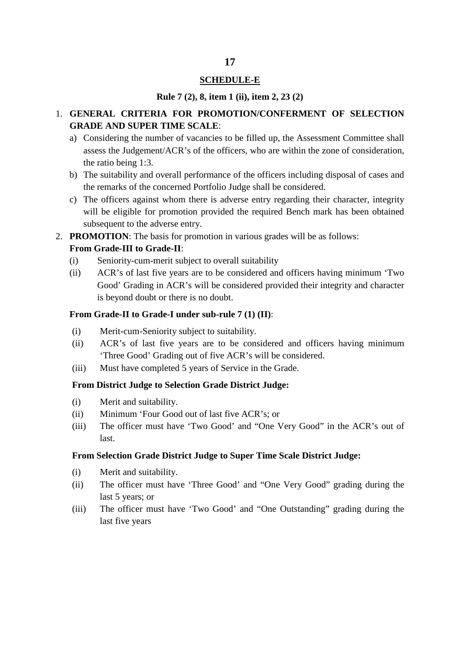#### **SCHEDULE-E**

#### **Rule 7 (2), 8, item 1 (ii), item 2, 23 (2)**

## 1. **GENERAL CRITERIA FOR PROMOTION/CONFERMENT OF SELECTION GRADE AND SUPER TIME SCALE**:

- a) Considering the number of vacancies to be filled up, the Assessment Committee shall assess the Judgement/ACR's of the officers, who are within the zone of consideration, the ratio being 1:3.
- b) The suitability and overall performance of the officers including disposal of cases and the remarks of the concerned Portfolio Judge shall be considered.
- c) The officers against whom there is adverse entry regarding their character, integrity will be eligible for promotion provided the required Bench mark has been obtained subsequent to the adverse entry.
- 2. **PROMOTION**: The basis for promotion in various grades will be as follows: **From Grade-III to Grade-II**:
	- (i) Seniority-cum-merit subject to overall suitability
	- (ii) ACR's of last five years are to be considered and officers having minimum 'Two Good' Grading in ACR's will be considered provided their integrity and character is beyond doubt or there is no doubt.

### **From Grade-II to Grade-I under sub-rule 7 (1) (II)**:

- (i) Merit-cum-Seniority subject to suitability.
- (ii) ACR's of last five years are to be considered and officers having minimum 'Three Good' Grading out of five ACR's will be considered.
- (iii) Must have completed 5 years of Service in the Grade.

#### **From District Judge to Selection Grade District Judge:**

- (i) Merit and suitability.
- (ii) Minimum 'Four Good out of last five ACR's; or
- (iii) The officer must have 'Two Good' and "One Very Good" in the ACR's out of last.

#### **From Selection Grade District Judge to Super Time Scale District Judge:**

- (i) Merit and suitability.
- (ii) The officer must have 'Three Good' and "One Very Good" grading during the last 5 years; or
- (iii) The officer must have 'Two Good' and "One Outstanding" grading during the last five years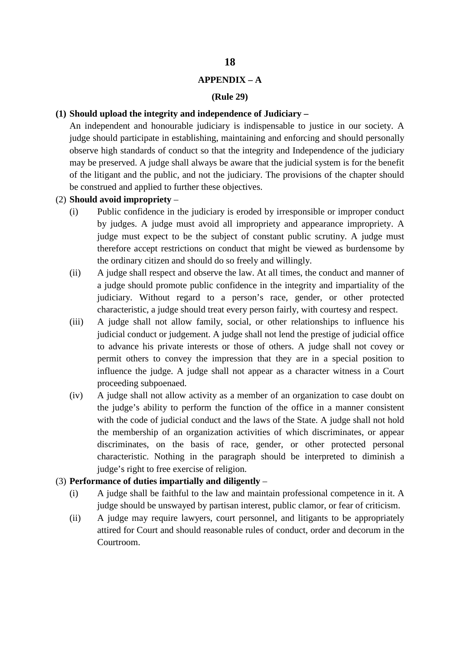#### **APPENDIX – A**

#### **(Rule 29)**

#### **(1) Should upload the integrity and independence of Judiciary –**

An independent and honourable judiciary is indispensable to justice in our society. A judge should participate in establishing, maintaining and enforcing and should personally observe high standards of conduct so that the integrity and Independence of the judiciary may be preserved. A judge shall always be aware that the judicial system is for the benefit of the litigant and the public, and not the judiciary. The provisions of the chapter should be construed and applied to further these objectives.

- (2) **Should avoid impropriety**
	- (i) Public confidence in the judiciary is eroded by irresponsible or improper conduct by judges. A judge must avoid all impropriety and appearance impropriety. A judge must expect to be the subject of constant public scrutiny. A judge must therefore accept restrictions on conduct that might be viewed as burdensome by the ordinary citizen and should do so freely and willingly.
	- (ii) A judge shall respect and observe the law. At all times, the conduct and manner of a judge should promote public confidence in the integrity and impartiality of the judiciary. Without regard to a person's race, gender, or other protected characteristic, a judge should treat every person fairly, with courtesy and respect.
	- (iii) A judge shall not allow family, social, or other relationships to influence his judicial conduct or judgement. A judge shall not lend the prestige of judicial office to advance his private interests or those of others. A judge shall not covey or permit others to convey the impression that they are in a special position to influence the judge. A judge shall not appear as a character witness in a Court proceeding subpoenaed.
	- (iv) A judge shall not allow activity as a member of an organization to case doubt on the judge's ability to perform the function of the office in a manner consistent with the code of judicial conduct and the laws of the State. A judge shall not hold the membership of an organization activities of which discriminates, or appear discriminates, on the basis of race, gender, or other protected personal characteristic. Nothing in the paragraph should be interpreted to diminish a judge's right to free exercise of religion.

#### (3) **Performance of duties impartially and diligently** –

- (i) A judge shall be faithful to the law and maintain professional competence in it. A judge should be unswayed by partisan interest, public clamor, or fear of criticism.
- (ii) A judge may require lawyers, court personnel, and litigants to be appropriately attired for Court and should reasonable rules of conduct, order and decorum in the Courtroom.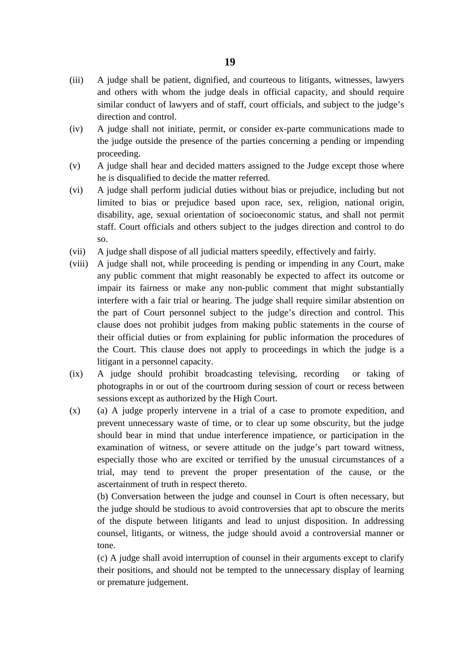- (iii) A judge shall be patient, dignified, and courteous to litigants, witnesses, lawyers and others with whom the judge deals in official capacity, and should require similar conduct of lawyers and of staff, court officials, and subject to the judge's direction and control.
- (iv) A judge shall not initiate, permit, or consider ex-parte communications made to the judge outside the presence of the parties concerning a pending or impending proceeding.
- (v) A judge shall hear and decided matters assigned to the Judge except those where he is disqualified to decide the matter referred.
- (vi) A judge shall perform judicial duties without bias or prejudice, including but not limited to bias or prejudice based upon race, sex, religion, national origin, disability, age, sexual orientation of socioeconomic status, and shall not permit staff. Court officials and others subject to the judges direction and control to do so.
- (vii) A judge shall dispose of all judicial matters speedily, effectively and fairly.
- (viii) A judge shall not, while proceeding is pending or impending in any Court, make any public comment that might reasonably be expected to affect its outcome or impair its fairness or make any non-public comment that might substantially interfere with a fair trial or hearing. The judge shall require similar abstention on the part of Court personnel subject to the judge's direction and control. This clause does not prohibit judges from making public statements in the course of their official duties or from explaining for public information the procedures of the Court. This clause does not apply to proceedings in which the judge is a litigant in a personnel capacity.
- (ix) A judge should prohibit broadcasting televising, recording or taking of photographs in or out of the courtroom during session of court or recess between sessions except as authorized by the High Court.
- (x) (a) A judge properly intervene in a trial of a case to promote expedition, and prevent unnecessary waste of time, or to clear up some obscurity, but the judge should bear in mind that undue interference impatience, or participation in the examination of witness, or severe attitude on the judge's part toward witness, especially those who are excited or terrified by the unusual circumstances of a trial, may tend to prevent the proper presentation of the cause, or the ascertainment of truth in respect thereto.

(b) Conversation between the judge and counsel in Court is often necessary, but the judge should be studious to avoid controversies that apt to obscure the merits of the dispute between litigants and lead to unjust disposition. In addressing counsel, litigants, or witness, the judge should avoid a controversial manner or tone.

(c) A judge shall avoid interruption of counsel in their arguments except to clarify their positions, and should not be tempted to the unnecessary display of learning or premature judgement.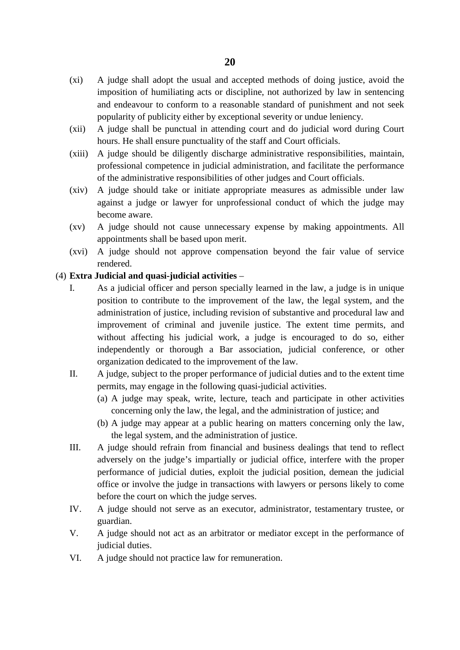- (xi) A judge shall adopt the usual and accepted methods of doing justice, avoid the imposition of humiliating acts or discipline, not authorized by law in sentencing and endeavour to conform to a reasonable standard of punishment and not seek popularity of publicity either by exceptional severity or undue leniency.
- (xii) A judge shall be punctual in attending court and do judicial word during Court hours. He shall ensure punctuality of the staff and Court officials.
- (xiii) A judge should be diligently discharge administrative responsibilities, maintain, professional competence in judicial administration, and facilitate the performance of the administrative responsibilities of other judges and Court officials.
- (xiv) A judge should take or initiate appropriate measures as admissible under law against a judge or lawyer for unprofessional conduct of which the judge may become aware.
- (xv) A judge should not cause unnecessary expense by making appointments. All appointments shall be based upon merit.
- (xvi) A judge should not approve compensation beyond the fair value of service rendered.

### (4) **Extra Judicial and quasi-judicial activities** –

- I. As a judicial officer and person specially learned in the law, a judge is in unique position to contribute to the improvement of the law, the legal system, and the administration of justice, including revision of substantive and procedural law and improvement of criminal and juvenile justice. The extent time permits, and without affecting his judicial work, a judge is encouraged to do so, either independently or thorough a Bar association, judicial conference, or other organization dedicated to the improvement of the law.
- II. A judge, subject to the proper performance of judicial duties and to the extent time permits, may engage in the following quasi-judicial activities.
	- (a) A judge may speak, write, lecture, teach and participate in other activities concerning only the law, the legal, and the administration of justice; and
	- (b) A judge may appear at a public hearing on matters concerning only the law, the legal system, and the administration of justice.
- III. A judge should refrain from financial and business dealings that tend to reflect adversely on the judge's impartially or judicial office, interfere with the proper performance of judicial duties, exploit the judicial position, demean the judicial office or involve the judge in transactions with lawyers or persons likely to come before the court on which the judge serves.
- IV. A judge should not serve as an executor, administrator, testamentary trustee, or guardian.
- V. A judge should not act as an arbitrator or mediator except in the performance of judicial duties.
- VI. A judge should not practice law for remuneration.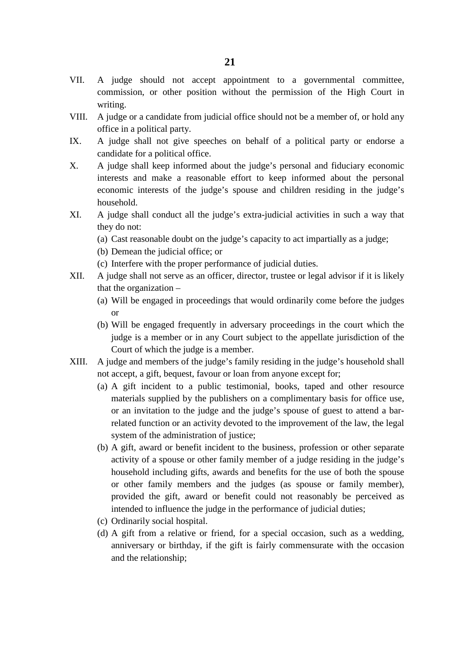- VII. A judge should not accept appointment to a governmental committee, commission, or other position without the permission of the High Court in writing.
- VIII. A judge or a candidate from judicial office should not be a member of, or hold any office in a political party.
- IX. A judge shall not give speeches on behalf of a political party or endorse a candidate for a political office.
- X. A judge shall keep informed about the judge's personal and fiduciary economic interests and make a reasonable effort to keep informed about the personal economic interests of the judge's spouse and children residing in the judge's household.
- XI. A judge shall conduct all the judge's extra-judicial activities in such a way that they do not:
	- (a) Cast reasonable doubt on the judge's capacity to act impartially as a judge;
	- (b) Demean the judicial office; or
	- (c) Interfere with the proper performance of judicial duties.
- XII. A judge shall not serve as an officer, director, trustee or legal advisor if it is likely that the organization –
	- (a) Will be engaged in proceedings that would ordinarily come before the judges or
	- (b) Will be engaged frequently in adversary proceedings in the court which the judge is a member or in any Court subject to the appellate jurisdiction of the Court of which the judge is a member.
- XIII. A judge and members of the judge's family residing in the judge's household shall not accept, a gift, bequest, favour or loan from anyone except for;
	- (a) A gift incident to a public testimonial, books, taped and other resource materials supplied by the publishers on a complimentary basis for office use, or an invitation to the judge and the judge's spouse of guest to attend a barrelated function or an activity devoted to the improvement of the law, the legal system of the administration of justice;
	- (b) A gift, award or benefit incident to the business, profession or other separate activity of a spouse or other family member of a judge residing in the judge's household including gifts, awards and benefits for the use of both the spouse or other family members and the judges (as spouse or family member), provided the gift, award or benefit could not reasonably be perceived as intended to influence the judge in the performance of judicial duties;
	- (c) Ordinarily social hospital.
	- (d) A gift from a relative or friend, for a special occasion, such as a wedding, anniversary or birthday, if the gift is fairly commensurate with the occasion and the relationship;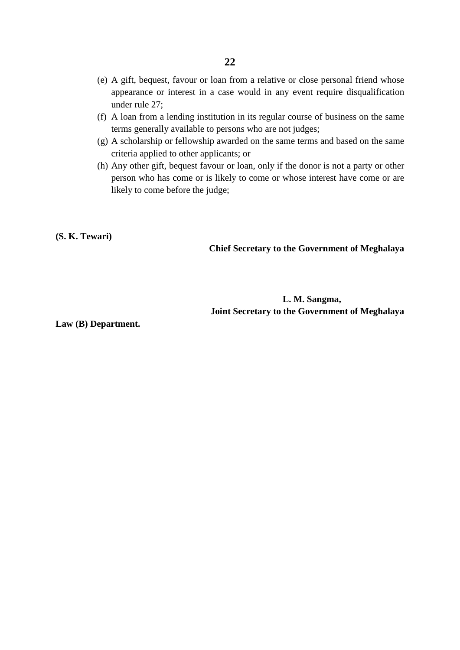- (e) A gift, bequest, favour or loan from a relative or close personal friend whose appearance or interest in a case would in any event require disqualification under rule 27;
- (f) A loan from a lending institution in its regular course of business on the same terms generally available to persons who are not judges;
- (g) A scholarship or fellowship awarded on the same terms and based on the same criteria applied to other applicants; or
- (h) Any other gift, bequest favour or loan, only if the donor is not a party or other person who has come or is likely to come or whose interest have come or are likely to come before the judge;

**(S. K. Tewari)**

**Chief Secretary to the Government of Meghalaya** 

## **L. M. Sangma, Joint Secretary to the Government of Meghalaya**

**Law (B) Department.**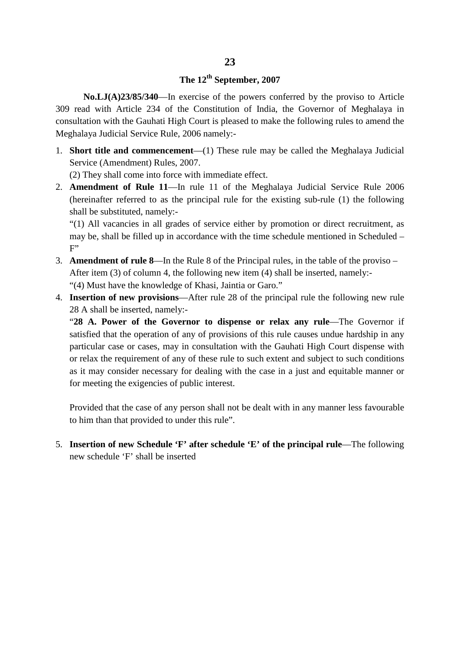# **The 12th September, 2007**

**No.LJ(A)23/85/340**—In exercise of the powers conferred by the proviso to Article 309 read with Article 234 of the Constitution of India, the Governor of Meghalaya in consultation with the Gauhati High Court is pleased to make the following rules to amend the Meghalaya Judicial Service Rule, 2006 namely:-

1. **Short title and commencement**—(1) These rule may be called the Meghalaya Judicial Service (Amendment) Rules, 2007.

(2) They shall come into force with immediate effect.

2. **Amendment of Rule 11**—In rule 11 of the Meghalaya Judicial Service Rule 2006 (hereinafter referred to as the principal rule for the existing sub-rule (1) the following shall be substituted, namely:-

"(1) All vacancies in all grades of service either by promotion or direct recruitment, as may be, shall be filled up in accordance with the time schedule mentioned in Scheduled –  $F$ 

- 3. **Amendment of rule 8**—In the Rule 8 of the Principal rules, in the table of the proviso After item (3) of column 4, the following new item (4) shall be inserted, namely:- "(4) Must have the knowledge of Khasi, Jaintia or Garo."
- 4. **Insertion of new provisions**—After rule 28 of the principal rule the following new rule 28 A shall be inserted, namely:-

"**28 A. Power of the Governor to dispense or relax any rule**—The Governor if satisfied that the operation of any of provisions of this rule causes undue hardship in any particular case or cases, may in consultation with the Gauhati High Court dispense with or relax the requirement of any of these rule to such extent and subject to such conditions as it may consider necessary for dealing with the case in a just and equitable manner or for meeting the exigencies of public interest.

Provided that the case of any person shall not be dealt with in any manner less favourable to him than that provided to under this rule".

5. **Insertion of new Schedule 'F' after schedule 'E' of the principal rule**—The following new schedule 'F' shall be inserted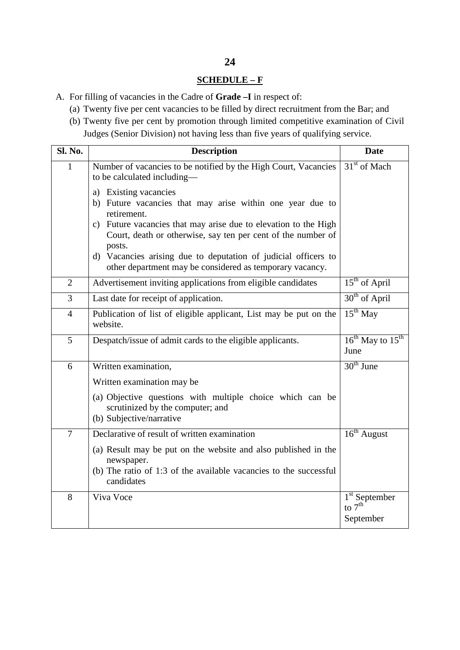# **SCHEDULE – F**

- A. For filling of vacancies in the Cadre of **Grade –I** in respect of:
	- (a) Twenty five per cent vacancies to be filled by direct recruitment from the Bar; and
	- (b) Twenty five per cent by promotion through limited competitive examination of Civil Judges (Senior Division) not having less than five years of qualifying service.

| <b>Sl. No.</b> | <b>Description</b>                                                                                                                                                                                                                             | <b>Date</b>                                        |
|----------------|------------------------------------------------------------------------------------------------------------------------------------------------------------------------------------------------------------------------------------------------|----------------------------------------------------|
| 1              | Number of vacancies to be notified by the High Court, Vacancies<br>to be calculated including-                                                                                                                                                 | 31 <sup>st</sup> of Mach                           |
|                | a) Existing vacancies<br>b) Future vacancies that may arise within one year due to<br>retirement.<br>c) Future vacancies that may arise due to elevation to the High<br>Court, death or otherwise, say ten per cent of the number of<br>posts. |                                                    |
|                | d) Vacancies arising due to deputation of judicial officers to<br>other department may be considered as temporary vacancy.                                                                                                                     |                                                    |
| $\overline{2}$ | Advertisement inviting applications from eligible candidates                                                                                                                                                                                   | $15th$ of April                                    |
| $\overline{3}$ | Last date for receipt of application.                                                                                                                                                                                                          | 30 <sup>th</sup> of April                          |
| $\overline{4}$ | Publication of list of eligible applicant, List may be put on the<br>website.                                                                                                                                                                  | $15th$ May                                         |
| 5              | Despatch/issue of admit cards to the eligible applicants.                                                                                                                                                                                      | $16^{th}$ May to $15^{th}$<br>June                 |
| 6              | Written examination,                                                                                                                                                                                                                           | $30th$ June                                        |
|                | Written examination may be                                                                                                                                                                                                                     |                                                    |
|                | (a) Objective questions with multiple choice which can be<br>scrutinized by the computer; and<br>(b) Subjective/narrative                                                                                                                      |                                                    |
| $\overline{7}$ | Declarative of result of written examination                                                                                                                                                                                                   | $16th$ August                                      |
|                | (a) Result may be put on the website and also published in the<br>newspaper.<br>(b) The ratio of 1:3 of the available vacancies to the successful<br>candidates                                                                                |                                                    |
| 8              | Viva Voce                                                                                                                                                                                                                                      | 1 <sup>st</sup> September<br>to $7th$<br>September |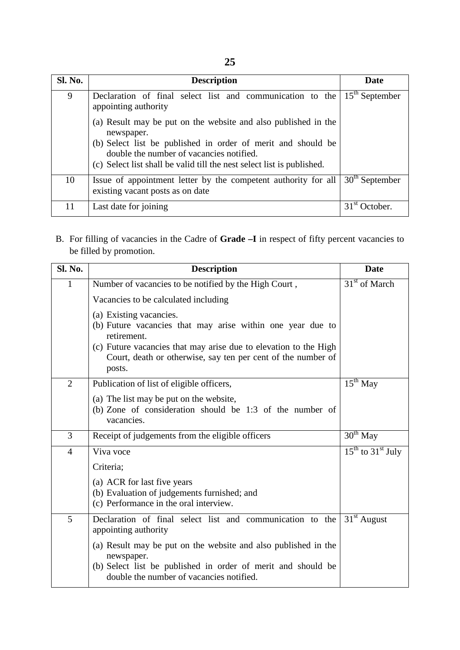| <b>Sl. No.</b> | <b>Description</b>                                                                                                                                                                 | Date                         |
|----------------|------------------------------------------------------------------------------------------------------------------------------------------------------------------------------------|------------------------------|
| 9              | Declaration of final select list and communication to the<br>appointing authority                                                                                                  | $15th$ September             |
|                | (a) Result may be put on the website and also published in the<br>newspaper.                                                                                                       |                              |
|                | (b) Select list be published in order of merit and should be<br>double the number of vacancies notified.<br>(c) Select list shall be valid till the nest select list is published. |                              |
| 10             | Issue of appointment letter by the competent authority for all<br>existing vacant posts as on date                                                                                 | $30th$ September             |
| 11             | Last date for joining                                                                                                                                                              | 31 <sup>st</sup><br>October. |

B. For filling of vacancies in the Cadre of **Grade –I** in respect of fifty percent vacancies to be filled by promotion.

| Sl. No.        | <b>Description</b>                                                                                                                                                                                                                                 | <b>Date</b>                 |
|----------------|----------------------------------------------------------------------------------------------------------------------------------------------------------------------------------------------------------------------------------------------------|-----------------------------|
| 1              | Number of vacancies to be notified by the High Court,                                                                                                                                                                                              | 31 <sup>st</sup> of March   |
|                | Vacancies to be calculated including                                                                                                                                                                                                               |                             |
|                | (a) Existing vacancies.<br>(b) Future vacancies that may arise within one year due to<br>retirement.<br>(c) Future vacancies that may arise due to elevation to the High<br>Court, death or otherwise, say ten per cent of the number of<br>posts. |                             |
| $\overline{2}$ | Publication of list of eligible officers,                                                                                                                                                                                                          | $15th$ May                  |
|                | (a) The list may be put on the website,<br>(b) Zone of consideration should be $1:3$ of the number of<br>vacancies.                                                                                                                                |                             |
| $\overline{3}$ | Receipt of judgements from the eligible officers                                                                                                                                                                                                   | $30th$ May                  |
| $\overline{4}$ | Viva voce                                                                                                                                                                                                                                          | $15^{th}$ to $31^{st}$ July |
|                | Criteria;                                                                                                                                                                                                                                          |                             |
|                | (a) ACR for last five years<br>(b) Evaluation of judgements furnished; and<br>(c) Performance in the oral interview.                                                                                                                               |                             |
| 5              | Declaration of final select list and communication to the<br>appointing authority                                                                                                                                                                  | $31st$ August               |
|                | (a) Result may be put on the website and also published in the<br>newspaper.<br>(b) Select list be published in order of merit and should be<br>double the number of vacancies notified.                                                           |                             |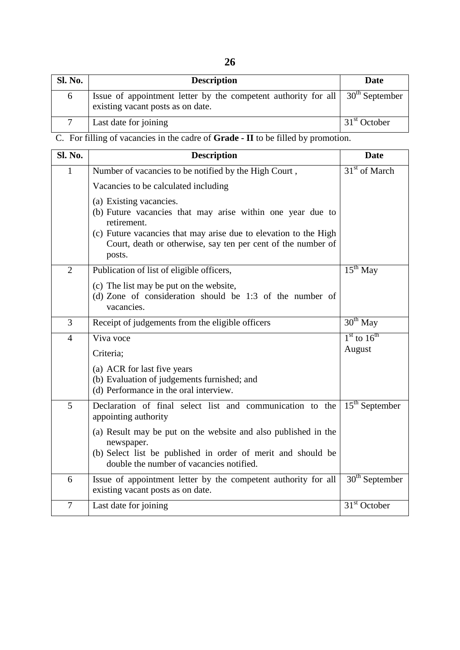| <b>Sl. No.</b> | <b>Description</b>                                                                                                                     | Date                     |
|----------------|----------------------------------------------------------------------------------------------------------------------------------------|--------------------------|
|                | Issue of appointment letter by the competent authority for all $\vert$ 30 <sup>th</sup> September<br>existing vacant posts as on date. |                          |
|                | Last date for joining                                                                                                                  | 31 <sup>st</sup> October |

C. For filling of vacancies in the cadre of **Grade - II** to be filled by promotion.

| Sl. No.        | <b>Description</b>                                                                                                                                                                                                                                 | <b>Date</b>      |
|----------------|----------------------------------------------------------------------------------------------------------------------------------------------------------------------------------------------------------------------------------------------------|------------------|
| $\mathbf{1}$   | Number of vacancies to be notified by the High Court,                                                                                                                                                                                              | $31st$ of March  |
|                | Vacancies to be calculated including                                                                                                                                                                                                               |                  |
|                | (a) Existing vacancies.<br>(b) Future vacancies that may arise within one year due to<br>retirement.<br>(c) Future vacancies that may arise due to elevation to the High<br>Court, death or otherwise, say ten per cent of the number of<br>posts. |                  |
| $\overline{2}$ | Publication of list of eligible officers,                                                                                                                                                                                                          | $15^{th}$ May    |
|                | (c) The list may be put on the website,<br>(d) Zone of consideration should be $1:3$ of the number of<br>vacancies.                                                                                                                                |                  |
| 3              | Receipt of judgements from the eligible officers                                                                                                                                                                                                   | $30th$ May       |
| $\overline{4}$ | Viva voce                                                                                                                                                                                                                                          | $1st$ to $16th$  |
|                | Criteria;                                                                                                                                                                                                                                          | August           |
|                | (a) ACR for last five years<br>(b) Evaluation of judgements furnished; and<br>(d) Performance in the oral interview.                                                                                                                               |                  |
| 5              | Declaration of final select list and communication to the<br>appointing authority                                                                                                                                                                  | $15th$ September |
|                | (a) Result may be put on the website and also published in the<br>newspaper.<br>(b) Select list be published in order of merit and should be<br>double the number of vacancies notified.                                                           |                  |
| 6              | Issue of appointment letter by the competent authority for all<br>existing vacant posts as on date.                                                                                                                                                | $30th$ September |
| $\tau$         | Last date for joining                                                                                                                                                                                                                              | $31st$ October   |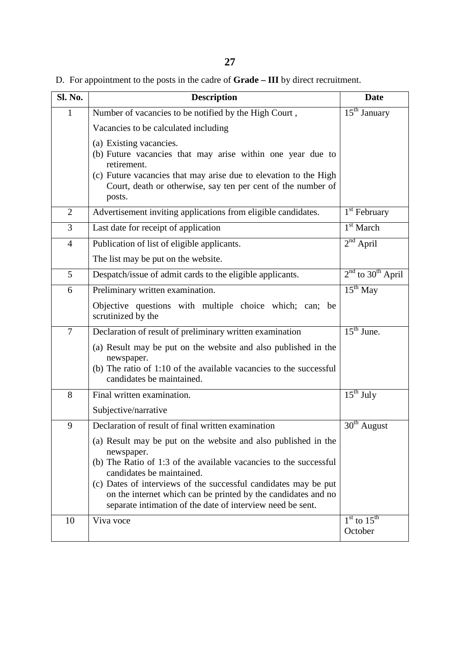D. For appointment to the posts in the cadre of **Grade – III** by direct recruitment.

| <b>Sl. No.</b> | <b>Description</b>                                                                                                                                                                                                                                 | <b>Date</b>                     |
|----------------|----------------------------------------------------------------------------------------------------------------------------------------------------------------------------------------------------------------------------------------------------|---------------------------------|
| $\mathbf{1}$   | Number of vacancies to be notified by the High Court,                                                                                                                                                                                              | $15th$ January                  |
|                | Vacancies to be calculated including                                                                                                                                                                                                               |                                 |
|                | (a) Existing vacancies.<br>(b) Future vacancies that may arise within one year due to<br>retirement.<br>(c) Future vacancies that may arise due to elevation to the High<br>Court, death or otherwise, say ten per cent of the number of<br>posts. |                                 |
| $\overline{2}$ | Advertisement inviting applications from eligible candidates.                                                                                                                                                                                      | $1st$ February                  |
| 3              | Last date for receipt of application                                                                                                                                                                                                               | $1st$ March                     |
| $\overline{4}$ | Publication of list of eligible applicants.                                                                                                                                                                                                        | $2nd$ April                     |
|                | The list may be put on the website.                                                                                                                                                                                                                |                                 |
| 5              | Despatch/issue of admit cards to the eligible applicants.                                                                                                                                                                                          | $2nd$ to 30 <sup>th</sup> April |
| 6              | Preliminary written examination.                                                                                                                                                                                                                   | $15^{th}$ May                   |
|                | Objective questions with multiple choice which; can; be<br>scrutinized by the                                                                                                                                                                      |                                 |
| $\tau$         | Declaration of result of preliminary written examination                                                                                                                                                                                           | $15th$ June.                    |
|                | (a) Result may be put on the website and also published in the<br>newspaper.<br>(b) The ratio of 1:10 of the available vacancies to the successful<br>candidates be maintained.                                                                    |                                 |
| 8              | Final written examination.                                                                                                                                                                                                                         | $15^{th}$ July                  |
|                | Subjective/narrative                                                                                                                                                                                                                               |                                 |
| 9              | Declaration of result of final written examination                                                                                                                                                                                                 | $30th$ August                   |
|                | (a) Result may be put on the website and also published in the<br>newspaper.<br>(b) The Ratio of 1:3 of the available vacancies to the successful<br>candidates be maintained.<br>(c) Dates of interviews of the successful candidates may be put  |                                 |
|                | on the internet which can be printed by the candidates and no<br>separate intimation of the date of interview need be sent.                                                                                                                        |                                 |
| 10             | Viva voce                                                                                                                                                                                                                                          | $1st$ to $15th$<br>October      |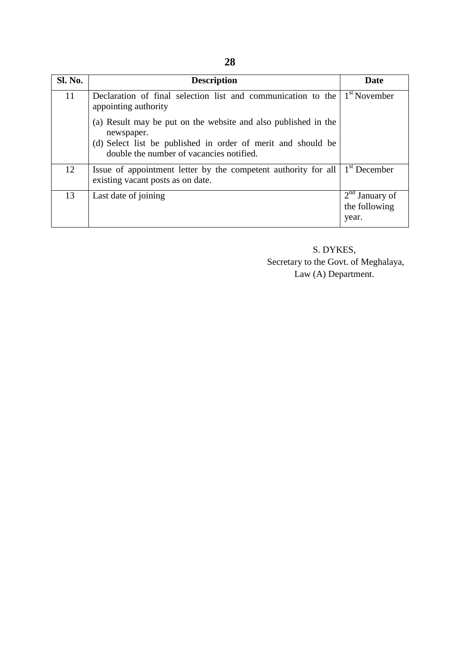| <b>Sl. No.</b> | <b>Description</b>                                                                                                                                                                       | Date                                       |
|----------------|------------------------------------------------------------------------------------------------------------------------------------------------------------------------------------------|--------------------------------------------|
| 11             | Declaration of final selection list and communication to the<br>appointing authority                                                                                                     | $1st$ November                             |
|                | (a) Result may be put on the website and also published in the<br>newspaper.<br>(d) Select list be published in order of merit and should be<br>double the number of vacancies notified. |                                            |
| 12             | Issue of appointment letter by the competent authority for all<br>existing vacant posts as on date.                                                                                      | $1st$ December                             |
| 13             | Last date of joining                                                                                                                                                                     | $2nd$ January of<br>the following<br>year. |

 S. DYKES, Secretary to the Govt. of Meghalaya, Law (A) Department.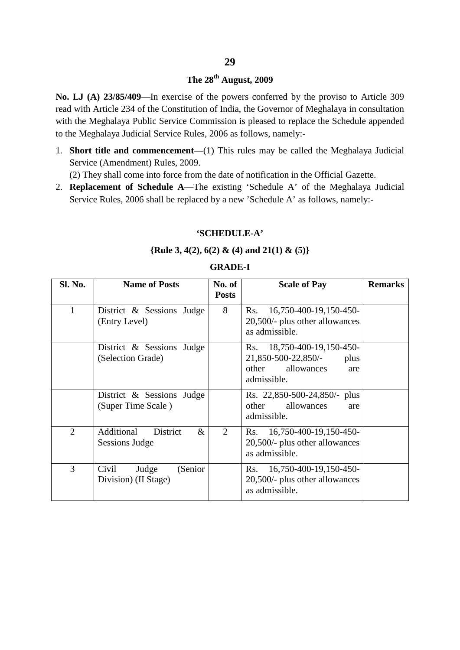# **The 28th August, 2009**

**No. LJ (A) 23/85/409**—In exercise of the powers conferred by the proviso to Article 309 read with Article 234 of the Constitution of India, the Governor of Meghalaya in consultation with the Meghalaya Public Service Commission is pleased to replace the Schedule appended to the Meghalaya Judicial Service Rules, 2006 as follows, namely:-

1. **Short title and commencement**—(1) This rules may be called the Meghalaya Judicial Service (Amendment) Rules, 2009.

(2) They shall come into force from the date of notification in the Official Gazette.

2. **Replacement of Schedule A**—The existing 'Schedule A' of the Meghalaya Judicial Service Rules, 2006 shall be replaced by a new 'Schedule A' as follows, namely:-

#### **'SCHEDULE-A'**

#### **{Rule 3, 4(2), 6(2) & (4) and 21(1) & (5)}**

#### **Sl. No. Name of Posts No. of Posts Scale of Pay Remarks** 1 District & Sessions Judge (Entry Level) 8 Rs. 16,750-400-19,150-450-20,500/- plus other allowances as admissible. District & Sessions Judge (Selection Grade) Rs. 18,750-400-19,150-450- 21,850-500-22,850/- plus other allowances are admissible. District & Sessions Judge (Super Time Scale ) Rs. 22,850-500-24,850/- plus other allowances are admissible. 2 Additional District & Sessions Judge 2 Rs. 16,750-400-19,150-450-20,500/- plus other allowances as admissible. 3 Civil Judge (Senior Division) (II Stage) Rs. 16,750-400-19,150-450- 20,500/- plus other allowances as admissible.

#### **GRADE-I**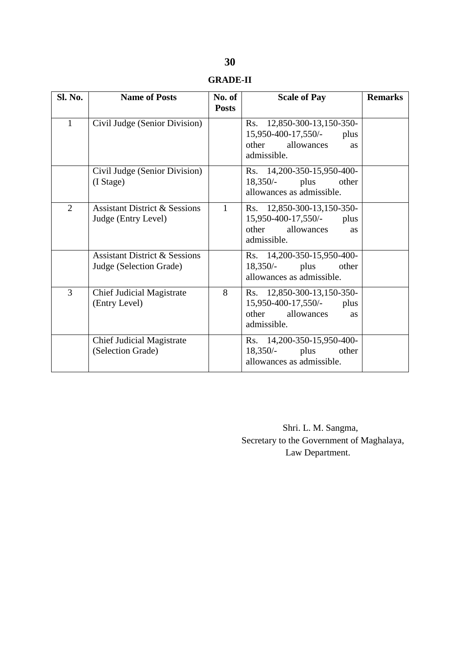| <b>Sl. No.</b> | <b>Name of Posts</b>                                                | No. of<br><b>Posts</b> | <b>Scale of Pay</b>                                                                                          | <b>Remarks</b> |
|----------------|---------------------------------------------------------------------|------------------------|--------------------------------------------------------------------------------------------------------------|----------------|
| $\mathbf{1}$   | Civil Judge (Senior Division)                                       |                        | Rs. 12,850-300-13,150-350-<br>15,950-400-17,550/-<br>plus<br>other allowances<br><b>as</b><br>admissible.    |                |
|                | Civil Judge (Senior Division)<br>(I Stage)                          |                        | Rs. 14,200-350-15,950-400-<br>$18,350/-$ plus<br>other<br>allowances as admissible.                          |                |
| $\overline{2}$ | <b>Assistant District &amp; Sessions</b><br>Judge (Entry Level)     | $\mathbf{1}$           | Rs. 12,850-300-13,150-350-<br>15,950-400-17,550/-<br>plus<br>other allowances<br><b>as</b><br>admissible.    |                |
|                | <b>Assistant District &amp; Sessions</b><br>Judge (Selection Grade) |                        | Rs. 14,200-350-15,950-400-<br>$18,350/-$ plus<br>other<br>allowances as admissible.                          |                |
| 3              | <b>Chief Judicial Magistrate</b><br>(Entry Level)                   | 8                      | Rs. 12,850-300-13,150-350-<br>15,950-400-17,550/-<br>plus<br>other<br>allowances<br><b>as</b><br>admissible. |                |
|                | <b>Chief Judicial Magistrate</b><br>(Selection Grade)               |                        | Rs. 14,200-350-15,950-400-<br>$18,350/-$ plus<br>other<br>allowances as admissible.                          |                |

 Shri. L. M. Sangma, Secretary to the Government of Maghalaya, Law Department.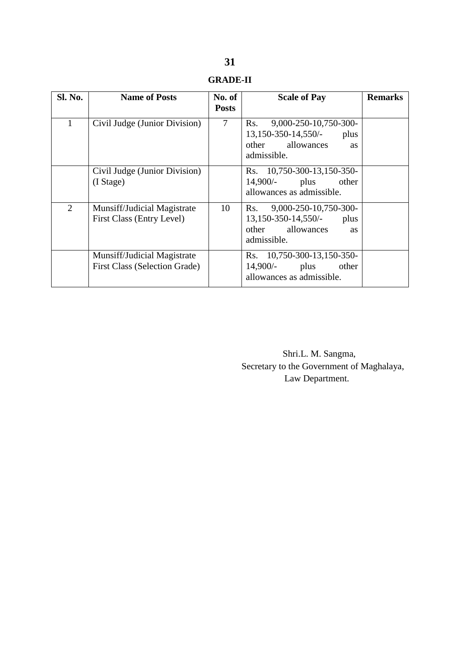| <b>Sl. No.</b> | <b>Name of Posts</b>                                                | No. of<br><b>Posts</b> | <b>Scale of Pay</b>                                                                                             | <b>Remarks</b> |
|----------------|---------------------------------------------------------------------|------------------------|-----------------------------------------------------------------------------------------------------------------|----------------|
| 1              | Civil Judge (Junior Division)                                       | 7                      | 9,000-250-10,750-300-<br>Rs.<br>$13,150-350-14,550/$<br>plus<br>allowances<br>other<br><b>as</b><br>admissible. |                |
|                | Civil Judge (Junior Division)<br>$(I$ Stage)                        |                        | Rs. 10,750-300-13,150-350-<br>$14,900/-$<br>plus<br>other<br>allowances as admissible.                          |                |
| 2              | Munsiff/Judicial Magistrate<br>First Class (Entry Level)            | 10                     | 9,000-250-10,750-300-<br>Rs.<br>$13,150-350-14,550/$<br>plus<br>other allowances<br><b>as</b><br>admissible.    |                |
|                | Munsiff/Judicial Magistrate<br><b>First Class (Selection Grade)</b> |                        | Rs. 10,750-300-13,150-350-<br>$14,900/-$<br>plus<br>other<br>allowances as admissible.                          |                |

 Shri.L. M. Sangma, Secretary to the Government of Maghalaya, Law Department.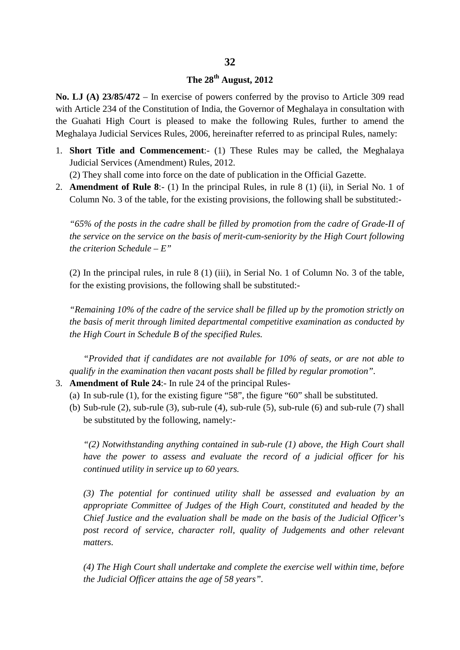## **32**

# **The 28th August, 2012**

**No. LJ (A) 23/85/472** – In exercise of powers conferred by the proviso to Article 309 read with Article 234 of the Constitution of India, the Governor of Meghalaya in consultation with the Guahati High Court is pleased to make the following Rules, further to amend the Meghalaya Judicial Services Rules, 2006, hereinafter referred to as principal Rules, namely:

- 1. **Short Title and Commencement**:- (1) These Rules may be called, the Meghalaya Judicial Services (Amendment) Rules, 2012.
	- (2) They shall come into force on the date of publication in the Official Gazette.
- 2. **Amendment of Rule 8**:- (1) In the principal Rules, in rule 8 (1) (ii), in Serial No. 1 of Column No. 3 of the table, for the existing provisions, the following shall be substituted:-

*"65% of the posts in the cadre shall be filled by promotion from the cadre of Grade-II of the service on the service on the basis of merit-cum-seniority by the High Court following the criterion Schedule – E"*

(2) In the principal rules, in rule 8 (1) (iii), in Serial No. 1 of Column No. 3 of the table, for the existing provisions, the following shall be substituted:-

*"Remaining 10% of the cadre of the service shall be filled up by the promotion strictly on the basis of merit through limited departmental competitive examination as conducted by the High Court in Schedule B of the specified Rules.*

*"Provided that if candidates are not available for 10% of seats, or are not able to qualify in the examination then vacant posts shall be filled by regular promotion".*

- 3. **Amendment of Rule 24**:- In rule 24 of the principal Rules-
	- (a) In sub-rule (1), for the existing figure "58", the figure "60" shall be substituted.
	- (b) Sub-rule (2), sub-rule (3), sub-rule (4), sub-rule (5), sub-rule (6) and sub-rule (7) shall be substituted by the following, namely:-

*"(2) Notwithstanding anything contained in sub-rule (1) above, the High Court shall have the power to assess and evaluate the record of a judicial officer for his continued utility in service up to 60 years.*

*(3) The potential for continued utility shall be assessed and evaluation by an appropriate Committee of Judges of the High Court, constituted and headed by the Chief Justice and the evaluation shall be made on the basis of the Judicial Officer's*  post record of service, character roll, quality of Judgements and other relevant *matters.*

*(4) The High Court shall undertake and complete the exercise well within time, before the Judicial Officer attains the age of 58 years".*